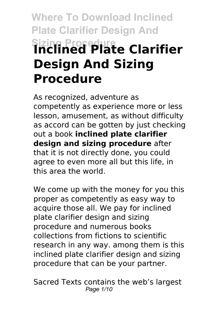# **Where To Download Inclined Plate Clarifier Design And Sizing Procedure Inclined Plate Clarifier Design And Sizing Procedure**

As recognized, adventure as competently as experience more or less lesson, amusement, as without difficulty as accord can be gotten by just checking out a book **inclined plate clarifier design and sizing procedure** after that it is not directly done, you could agree to even more all but this life, in this area the world.

We come up with the money for you this proper as competently as easy way to acquire those all. We pay for inclined plate clarifier design and sizing procedure and numerous books collections from fictions to scientific research in any way. among them is this inclined plate clarifier design and sizing procedure that can be your partner.

Sacred Texts contains the web's largest Page 1/10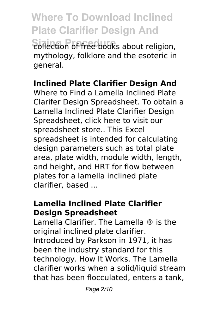**Where To Download Inclined Plate Clarifier Design And Sizing Procedure** collection of free books about religion, mythology, folklore and the esoteric in general.

#### **Inclined Plate Clarifier Design And**

Where to Find a Lamella Inclined Plate Clarifer Design Spreadsheet. To obtain a Lamella Inclined Plate Clarifier Design Spreadsheet, click here to visit our spreadsheet store.. This Excel spreadsheet is intended for calculating design parameters such as total plate area, plate width, module width, length, and height, and HRT for flow between plates for a lamella inclined plate clarifier, based ...

# **Lamella Inclined Plate Clarifier Design Spreadsheet**

Lamella Clarifier. The Lamella ® is the original inclined plate clarifier. Introduced by Parkson in 1971, it has been the industry standard for this technology. How It Works. The Lamella clarifier works when a solid/liquid stream that has been flocculated, enters a tank,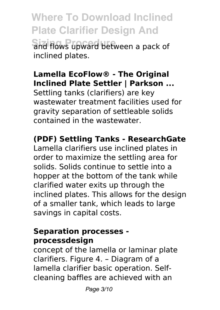**Where To Download Inclined Plate Clarifier Design And Sizing Procedure** and flows upward between a pack of inclined plates.

# **Lamella EcoFlow® - The Original Inclined Plate Settler | Parkson ...**

Settling tanks (clarifiers) are key wastewater treatment facilities used for gravity separation of settleable solids contained in the wastewater.

# **(PDF) Settling Tanks - ResearchGate**

Lamella clarifiers use inclined plates in order to maximize the settling area for solids. Solids continue to settle into a hopper at the bottom of the tank while clarified water exits up through the inclined plates. This allows for the design of a smaller tank, which leads to large savings in capital costs.

## **Separation processes processdesign**

concept of the lamella or laminar plate clarifiers. Figure 4. – Diagram of a lamella clarifier basic operation. Selfcleaning baffles are achieved with an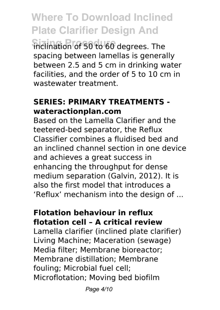**Where To Download Inclined Plate Clarifier Design And**

**Sizing Procedure** inclination of 50 to 60 degrees. The spacing between lamellas is generally between 2.5 and 5 cm in drinking water facilities, and the order of 5 to 10 cm in wastewater treatment.

#### **SERIES: PRIMARY TREATMENTS wateractionplan.com**

Based on the Lamella Clarifier and the teetered-bed separator, the Reflux Classifier combines a fluidised bed and an inclined channel section in one device and achieves a great success in enhancing the throughput for dense medium separation (Galvin, 2012). It is also the first model that introduces a 'Reflux' mechanism into the design of ...

#### **Flotation behaviour in reflux flotation cell – A critical review**

Lamella clarifier (inclined plate clarifier) Living Machine; Maceration (sewage) Media filter; Membrane bioreactor; Membrane distillation; Membrane fouling; Microbial fuel cell; Microflotation; Moving bed biofilm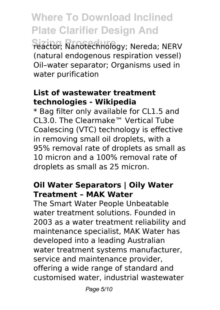**Where To Download Inclined Plate Clarifier Design And Sizing Procedure** reactor; Nanotechnology; Nereda; NERV (natural endogenous respiration vessel) Oil–water separator; Organisms used in water purification

#### **List of wastewater treatment technologies - Wikipedia**

\* Bag filter only available for CL1.5 and CL3.0. The Clearmake™ Vertical Tube Coalescing (VTC) technology is effective in removing small oil droplets, with a 95% removal rate of droplets as small as 10 micron and a 100% removal rate of droplets as small as 25 micron.

## **Oil Water Separators | Oily Water Treatment – MAK Water**

The Smart Water People Unbeatable water treatment solutions. Founded in 2003 as a water treatment reliability and maintenance specialist, MAK Water has developed into a leading Australian water treatment systems manufacturer, service and maintenance provider, offering a wide range of standard and customised water, industrial wastewater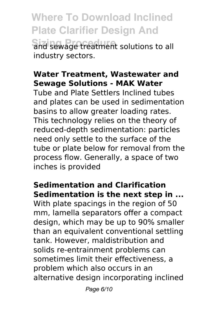**Where To Download Inclined Plate Clarifier Design And Sizing Procedure** and sewage treatment solutions to all industry sectors.

#### **Water Treatment, Wastewater and Sewage Solutions - MAK Water**

Tube and Plate Settlers Inclined tubes and plates can be used in sedimentation basins to allow greater loading rates. This technology relies on the theory of reduced-depth sedimentation: particles need only settle to the surface of the tube or plate below for removal from the process flow. Generally, a space of two inches is provided

## **Sedimentation and Clarification Sedimentation is the next step in ...**

With plate spacings in the region of 50 mm, lamella separators offer a compact design, which may be up to 90% smaller than an equivalent conventional settling tank. However, maldistribution and solids re-entrainment problems can sometimes limit their effectiveness, a problem which also occurs in an alternative design incorporating inclined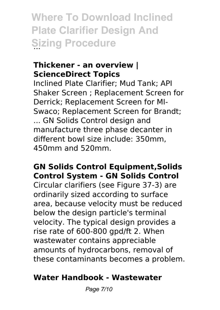**Where To Download Inclined Plate Clarifier Design And Sizing Procedure** 

#### **Thickener - an overview | ScienceDirect Topics**

Inclined Plate Clarifier; Mud Tank; API Shaker Screen ; Replacement Screen for Derrick; Replacement Screen for MI-Swaco; Replacement Screen for Brandt; ... GN Solids Control design and manufacture three phase decanter in different bowl size include: 350mm, 450mm and 520mm.

## **GN Solids Control Equipment,Solids Control System - GN Solids Control**

Circular clarifiers (see Figure 37-3) are ordinarily sized according to surface area, because velocity must be reduced below the design particle's terminal velocity. The typical design provides a rise rate of 600-800 gpd/ft 2. When wastewater contains appreciable amounts of hydrocarbons, removal of these contaminants becomes a problem.

## **Water Handbook - Wastewater**

Page 7/10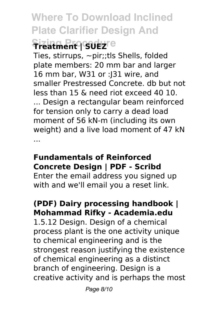**Where To Download Inclined Plate Clarifier Design And Sizing Procedure** 

Ties, stirrups, ~pir;;tls Shells, folded plate members: 20 mm bar and larger 16 mm bar, W31 or :J31 wire, and smaller Prestressed Concrete. db but not less than 15 & need riot exceed 40 10.

... Design a rectangular beam reinforced for tension only to carry a dead load moment of 56 kN-m (including its own weight) and a live load moment of 47 kN ...

# **Fundamentals of Reinforced Concrete Design | PDF - Scribd**

Enter the email address you signed up with and we'll email you a reset link.

# **(PDF) Dairy processing handbook | Mohammad Rifky - Academia.edu**

1.5.12 Design. Design of a chemical process plant is the one activity unique to chemical engineering and is the strongest reason justifying the existence of chemical engineering as a distinct branch of engineering. Design is a creative activity and is perhaps the most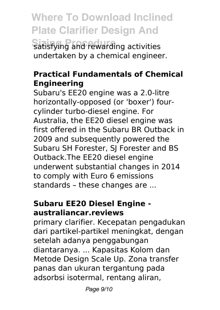**Where To Download Inclined Plate Clarifier Design And**

**Satisfying and rewarding activities** undertaken by a chemical engineer.

## **Practical Fundamentals of Chemical Engineering**

Subaru's EE20 engine was a 2.0-litre horizontally-opposed (or 'boxer') fourcylinder turbo-diesel engine. For Australia, the EE20 diesel engine was first offered in the Subaru BR Outback in 2009 and subsequently powered the Subaru SH Forester, SJ Forester and BS Outback.The EE20 diesel engine underwent substantial changes in 2014 to comply with Euro 6 emissions standards – these changes are ...

## **Subaru EE20 Diesel Engine australiancar.reviews**

primary clarifier. Kecepatan pengadukan dari partikel-partikel meningkat, dengan setelah adanya penggabungan diantaranya. ... Kapasitas Kolom dan Metode Design Scale Up. Zona transfer panas dan ukuran tergantung pada adsorbsi isotermal, rentang aliran,